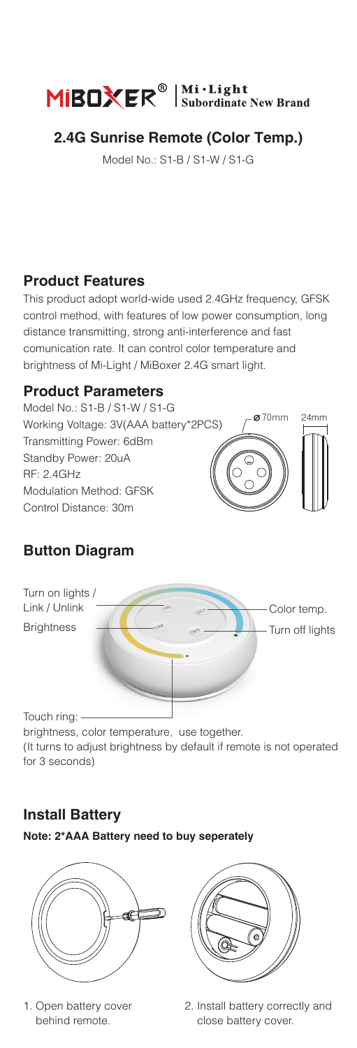

# **2.4G Sunrise Remote (Color Temp.)**

Model No.: S1-B / S1-W / S1-G

#### **Product Features**

This product adopt world-wide used 2.4GHz frequency, GFSK control method, with features of low power consumption, long distance transmitting, strong anti-interference and fast comunication rate. It can control color temperature and brightness of Mi-Light / MiBoxer 2.4G smart light.

#### **Product Parameters**

 $270mm$ Model No.: S1-B / S1-W / S1-G Working Voltage: 3V(AAA battery\*2PCS) Transmitting Power: 6dBm Standby Power: 20uA RF: 2.4GHz Modulation Method: GFSK Control Distance: 30m

# **Button Diagram**



brightness, color temperature, use together. (It turns to adjust brightness by default if remote is not operated for 3 seconds)

# **Install Battery**

**Note: 2\*AAA Battery need to buy seperately**



1. Open battery cover behind remote.



2. Install battery correctly and close battery cover.